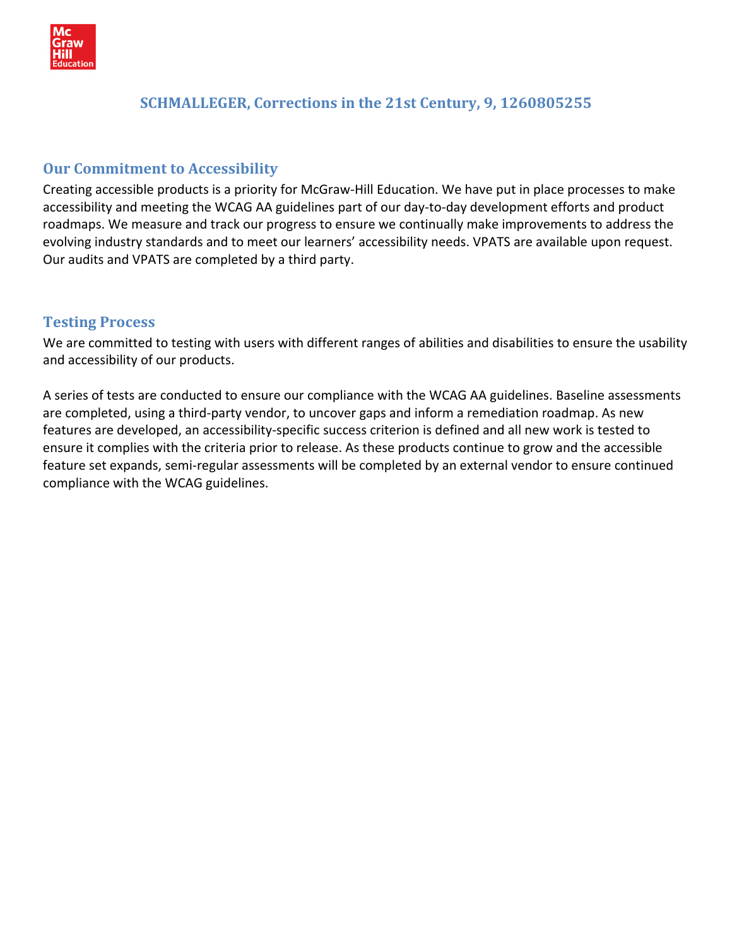

## **SCHMALLEGER, Corrections in the 21st Century, 9, 1260805255**

## **Our Commitment to Accessibility**

Creating accessible products is a priority for McGraw‐Hill Education. We have put in place processes to make accessibility and meeting the WCAG AA guidelines part of our day‐to‐day development efforts and product roadmaps. We measure and track our progress to ensure we continually make improvements to address the evolving industry standards and to meet our learners' accessibility needs. VPATS are available upon request. Our audits and VPATS are completed by a third party.

## **Testing Process**

We are committed to testing with users with different ranges of abilities and disabilities to ensure the usability and accessibility of our products.

A series of tests are conducted to ensure our compliance with the WCAG AA guidelines. Baseline assessments are completed, using a third‐party vendor, to uncover gaps and inform a remediation roadmap. As new features are developed, an accessibility‐specific success criterion is defined and all new work is tested to ensure it complies with the criteria prior to release. As these products continue to grow and the accessible feature set expands, semi‐regular assessments will be completed by an external vendor to ensure continued compliance with the WCAG guidelines.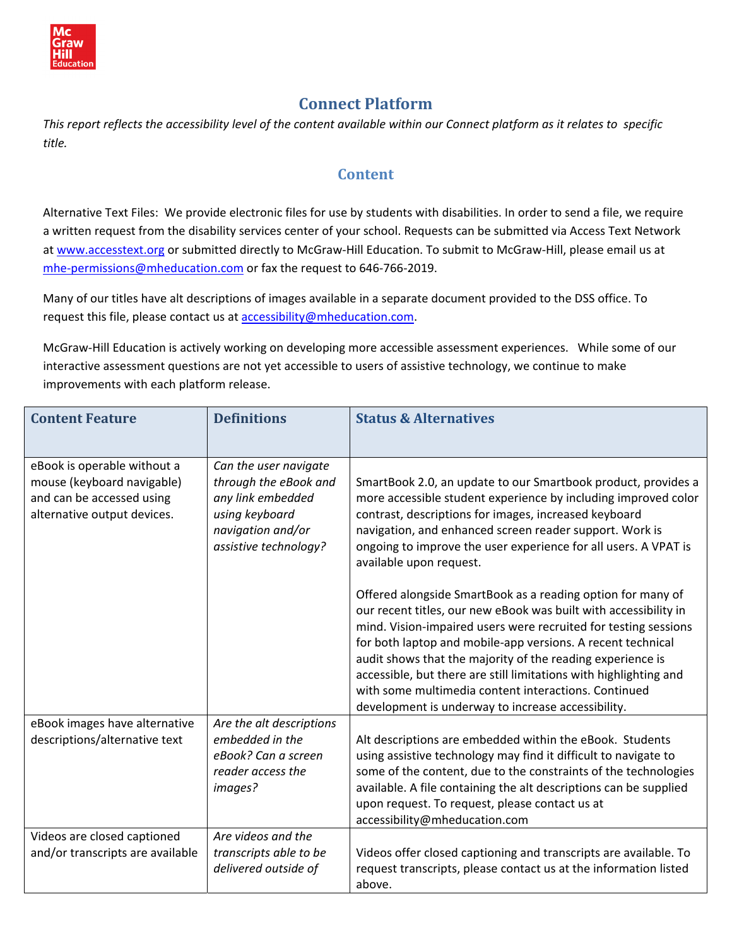

# **Connect Platform**

This report reflects the accessibility level of the content available within our Connect platform as it relates to specific *title.* 

## **Content**

Alternative Text Files: We provide electronic files for use by students with disabilities. In order to send a file, we require a written request from the disability services center of your school. Requests can be submitted via Access Text Network at [www.accesstext.org](http://www.accesstext.org/) or submitted directly to McGraw-Hill Education. To submit to McGraw-Hill, please email us at mhe-[permissions@mheducation.com](mailto:mhe-permissions@mheducation.com) or fax the request to 646-766-2019.

Many of our titles have alt descriptions of images available in a separate document provided to the DSS office. To request this file, please contact us at [accessibility@mheducation.com](mailto:accessibility@mheducation.com).

McGraw‐Hill Education is actively working on developing more accessible assessment experiences. While some of our interactive assessment questions are not yet accessible to users of assistive technology, we continue to make improvements with each platform release.

| <b>Content Feature</b>                                                                                                | <b>Definitions</b>                                                                                                                  | <b>Status &amp; Alternatives</b>                                                                                                                                                                                                                                                                                                                                                                                                                                                                                   |
|-----------------------------------------------------------------------------------------------------------------------|-------------------------------------------------------------------------------------------------------------------------------------|--------------------------------------------------------------------------------------------------------------------------------------------------------------------------------------------------------------------------------------------------------------------------------------------------------------------------------------------------------------------------------------------------------------------------------------------------------------------------------------------------------------------|
| eBook is operable without a<br>mouse (keyboard navigable)<br>and can be accessed using<br>alternative output devices. | Can the user navigate<br>through the eBook and<br>any link embedded<br>using keyboard<br>navigation and/or<br>assistive technology? | SmartBook 2.0, an update to our Smartbook product, provides a<br>more accessible student experience by including improved color<br>contrast, descriptions for images, increased keyboard<br>navigation, and enhanced screen reader support. Work is<br>ongoing to improve the user experience for all users. A VPAT is<br>available upon request.                                                                                                                                                                  |
|                                                                                                                       |                                                                                                                                     | Offered alongside SmartBook as a reading option for many of<br>our recent titles, our new eBook was built with accessibility in<br>mind. Vision-impaired users were recruited for testing sessions<br>for both laptop and mobile-app versions. A recent technical<br>audit shows that the majority of the reading experience is<br>accessible, but there are still limitations with highlighting and<br>with some multimedia content interactions. Continued<br>development is underway to increase accessibility. |
| eBook images have alternative<br>descriptions/alternative text                                                        | Are the alt descriptions<br>embedded in the<br>eBook? Can a screen<br>reader access the<br>images?                                  | Alt descriptions are embedded within the eBook. Students<br>using assistive technology may find it difficult to navigate to<br>some of the content, due to the constraints of the technologies<br>available. A file containing the alt descriptions can be supplied<br>upon request. To request, please contact us at<br>accessibility@mheducation.com                                                                                                                                                             |
| Videos are closed captioned<br>and/or transcripts are available                                                       | Are videos and the<br>transcripts able to be<br>delivered outside of                                                                | Videos offer closed captioning and transcripts are available. To<br>request transcripts, please contact us at the information listed<br>above.                                                                                                                                                                                                                                                                                                                                                                     |